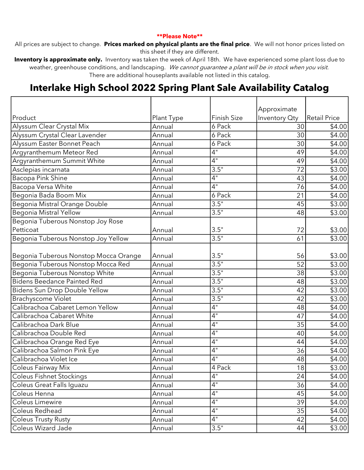## \*\*Please Note\*\*

All prices are subject to change. Prices marked on physical plants are the final price. We will not honor prices listed on this sheet if they are different.

Inventory is approximate only. Inventory was taken the week of April 18th. We have experienced some plant loss due to weather, greenhouse conditions, and landscaping. We cannot guarantee a plant will be in stock when you visit. There are additional houseplants available not listed in this catalog.

## Interlake High School 2022 Spring Plant Sale Availability Catalog

|                                       |            |                    | Approximate   |                     |
|---------------------------------------|------------|--------------------|---------------|---------------------|
| Product                               | Plant Type | <b>Finish Size</b> | Inventory Oty | <b>Retail Price</b> |
| Alyssum Clear Crystal Mix             | Annual     | 6 Pack             | 30            | \$4.00              |
| Alyssum Crystal Clear Lavender        | Annual     | 6 Pack             | 30            | \$4.00              |
| Alyssum Easter Bonnet Peach           | Annual     | 6 Pack             | 30            | \$4.00              |
| Argyranthemum Meteor Red              | Annual     | 4"                 | 49            | \$4.00              |
| Argyranthemum Summit White            | Annual     | 4"                 | 49            | \$4.00              |
| Asclepias incarnata                   | Annual     | 3.5"               | 72            | \$3.00              |
| Bacopa Pink Shine                     | Annual     | 4"                 | 43            | \$4.00              |
| Bacopa Versa White                    | Annual     | 4"                 | 76            | \$4.00              |
| Begonia Bada Boom Mix                 | Annual     | 6 Pack             | 21            | \$4.00              |
| Begonia Mistral Orange Double         | Annual     | 3.5"               | 45            | \$3.00              |
| <b>Begonia Mistral Yellow</b>         | Annual     | 3.5"               | 48            | \$3.00              |
| Begonia Tuberous Nonstop Joy Rose     |            |                    |               |                     |
| Petticoat                             | Annual     | 3.5"               | 72            | \$3.00              |
| Begonia Tuberous Nonstop Joy Yellow   | Annual     | 3.5"               | 61            | \$3.00              |
|                                       |            |                    |               |                     |
| Begonia Tuberous Nonstop Mocca Orange | Annual     | 3.5"               | 56            | \$3.00              |
| Begonia Tuberous Nonstop Mocca Red    | Annual     | 3.5"               | 52            | \$3.00              |
| Begonia Tuberous Nonstop White        | Annual     | 3.5"               | 38            | \$3.00              |
| <b>Bidens Beedance Painted Red</b>    | Annual     | 3.5"               | 48            | \$3.00              |
| Bidens Sun Drop Double Yellow         | Annual     | 3.5"               | 42            | \$3.00              |
| <b>Brachyscome Violet</b>             | Annual     | 3.5"               | 42            | \$3.00              |
| Calibrachoa Cabaret Lemon Yellow      | Annual     | 4"                 | 48            | \$4.00              |
| Calibrachoa Cabaret White             | Annual     | 4"                 | 47            | \$4.00              |
| Calibrachoa Dark Blue                 | Annual     | 4"                 | 35            | \$4.00              |
| Calibrachoa Double Red                | Annual     | 4"                 | 40            | \$4.00              |
| Calibrachoa Orange Red Eye            | Annual     | $\overline{4}$ "   | 44            | \$4.00              |
| Calibrachoa Salmon Pink Eye           | Annual     | 4"                 | 36            | \$4.00              |
| Calibrachoa Violet Ice                | Annual     | 4"                 | 48            | \$4.00              |
| Coleus Fairway Mix                    | Annual     | 4 Pack             | 18            | \$3.00              |
| <b>Coleus Fishnet Stockings</b>       | Annual     | 4"                 | 24            | \$4.00              |
| Coleus Great Falls Iquazu             | Annual     | 4"                 | 36            | \$4.00              |
| Coleus Henna                          | Annual     | 4"                 | 45            | \$4.00              |
| Coleus Limewire                       | Annual     | 4"                 | 39            | \$4.00              |
| Coleus Redhead                        | Annual     | 4"                 | 35            | \$4.00              |
| <b>Coleus Trusty Rusty</b>            | Annual     | 4 <sup>11</sup>    | 42            | \$4.00              |
| Coleus Wizard Jade                    | Annual     | 3.5"               | 44            | \$3.00              |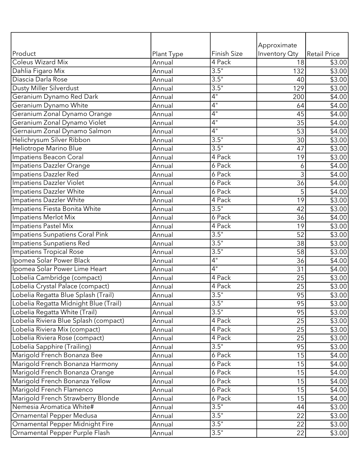|                                       |            |                     | Approximate     |                     |
|---------------------------------------|------------|---------------------|-----------------|---------------------|
| Product                               | Plant Type | <b>Finish Size</b>  | Inventory Oty   | <b>Retail Price</b> |
| <b>Coleus Wizard Mix</b>              | Annual     | 4 Pack              | 18              | \$3.00              |
| Dahlia Figaro Mix                     | Annual     | 3.5"                | 132             | \$3.00              |
| Diascia Darla Rose                    | Annual     | 3.5"                | 40              | \$3.00              |
| <b>Dusty Miller Silverdust</b>        | Annual     | 3.5"                | 129             | \$3.00              |
| Geranium Dynamo Red Dark              | Annual     | 4"                  | 200             | \$4.00              |
| Geranium Dynamo White                 | Annual     | 4"                  | 64              | \$4.00              |
| Geranium Zonal Dynamo Orange          | Annual     | 4"                  | 45              | \$4.00              |
| Geranium Zonal Dynamo Violet          | Annual     | 4"                  | 35              | \$4.00              |
| Gernaium Zonal Dynamo Salmon          | Annual     | 4"                  | 53              | \$4.00              |
| Helichrysum Silver Ribbon             | Annual     | 3.5"                | 30              | \$3.00              |
| Heliotrope Marino Blue                | Annual     | 3.5"                | 47              | \$3.00              |
| Impatiens Beacon Coral                | Annual     | 4 Pack              | 19              | \$3.00              |
| Impatiens Dazzler Orange              | Annual     | 6 Pack              | 6               | \$4.00              |
| Impatiens Dazzler Red                 | Annual     | 6 Pack              | 3               | $\overline{$4.00}$  |
| Impatiens Dazzler Violet              | Annual     | 6 Pack              | 36              | \$4.00              |
| Impatiens Dazzler White               | Annual     | 6 Pack              | 5               | \$4.00              |
| Impatiens Dazzler White               | Annual     | 4 Pack              | $\overline{19}$ | \$3.00              |
| Impatiens Fiesta Bonita White         | Annual     | 3.5"                | 42              | \$3.00              |
| Impatiens Merlot Mix                  | Annual     | 6 Pack              | 36              | \$4.00              |
| Impatiens Pastel Mix                  | Annual     | $\overline{4}$ Pack | 19              | \$3.00              |
| Impatiens Sunpatiens Coral Pink       | Annual     | 3.5"                | 52              | \$3.00              |
| Impatiens Sunpatiens Red              | Annual     | 3.5"                | 38              | \$3.00              |
| <b>Impatiens Tropical Rose</b>        | Annual     | 3.5"                | 58              | \$3.00              |
| Ipomea Solar Power Black              | Annual     | 4"                  | 36              | \$4.00              |
| Ipomea Solar Power Lime Heart         | Annual     | 4"                  | 31              | \$4.00              |
| Lobelia Cambridge (compact)           | Annual     | 4 Pack              | 25              | \$3.00              |
| Lobelia Crystal Palace (compact)      | Annual     | 4 Pack              | 25              | \$3.00              |
| Lobelia Regatta Blue Splash (Trail)   | Annual     | 3.5"                | 95              | \$3.00              |
| Lobelia Regatta Midnight Blue (Trail) | Annual     | 3.5"                | 95              | \$3.00              |
| Lobelia Regatta White (Trail)         | Annual     | 3.5"                | 95              | \$3.00              |
| Lobelia Riviera Blue Splash (compact) | Annual     | 4 Pack              | 25              | \$3.00              |
| Lobelia Riviera Mix (compact)         | Annual     | 4 Pack              | 25              | \$3.00              |
| Lobelia Riviera Rose (compact)        | Annual     | 4 Pack              | 25              | \$3.00              |
| Lobelia Sapphire (Trailing)           | Annual     | 3.5"                | 95              | \$3.00              |
| Marigold French Bonanza Bee           | Annual     | 6 Pack              | 15              | \$4.00              |
| Marigold French Bonanza Harmony       | Annual     | 6 Pack              | 15              | \$4.00              |
| Marigold French Bonanza Orange        | Annual     | 6 Pack              | 15              | \$4.00              |
| Marigold French Bonanza Yellow        | Annual     | 6 Pack              | 15              | \$4.00              |
| Marigold French Flamenco              | Annual     | 6 Pack              | 15              | \$4.00              |
| Marigold French Strawberry Blonde     | Annual     | 6 Pack              | 15              | \$4.00              |
| Nemesia Aromatica White#              | Annual     | 3.5"                | 44              | \$3.00              |
| <b>Ornamental Pepper Medusa</b>       | Annual     | 3.5"                | 22              | \$3.00              |
| Ornamental Pepper Midnight Fire       | Annual     | 3.5"                | 22              | \$3.00              |
| Ornamental Pepper Purple Flash        | Annual     | 3.5"                | 22              | \$3.00              |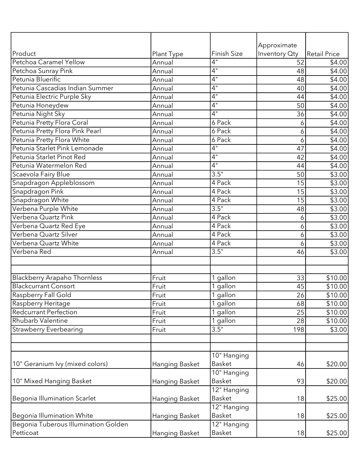|                                      |                |                           | Approximate   |                    |
|--------------------------------------|----------------|---------------------------|---------------|--------------------|
| Product                              | Plant Type     | <b>Finish Size</b>        | Inventory Oty | Retail Price       |
| Petchoa Caramel Yellow               | Annual         | 4"                        | 52            | \$4.00             |
| Petchoa Sunray Pink                  | Annual         | $\overline{4}$ "          | 48            | \$4.00             |
| Petunia Bluerific                    | Annual         | 4"                        | 48            | \$4.00             |
| Petunia Cascadias Indian Summer      | Annual         | 4"                        | 40            | \$4.00             |
| Petunia Electric Purple Sky          | Annual         | 4"                        | 44            | \$4.00             |
| Petunia Honeydew                     | Annual         | 4"                        | 50            | \$4.00             |
| Petunia Night Sky                    | Annual         | $\overline{4}$ "          | 36            | \$4.00             |
| Petunia Pretty Flora Coral           | Annual         | 6 Pack                    | 6             | \$4.00             |
| Petunia Pretty Flora Pink Pearl      | Annual         | 6 Pack                    | 6             | \$4.00             |
| Petunia Pretty Flora White           | Annual         | 6 Pack                    | 6             | $\overline{$4.00}$ |
| Petunia Starlet Pink Lemonade        | Annual         | 4"                        | 47            | \$4.00             |
| Petunia Starlet Pinot Red            | Annual         | 4"                        | 42            | \$4.00             |
| Petunia Watermelon Red               | Annual         | 4"                        | 44            | \$4.00             |
| Scaevola Fairy Blue                  | Annual         | 3.5"                      | 50            | \$3.00             |
| Snapdragon Appleblossom              | Annual         | 4 Pack                    | 15            | \$3.00             |
| Snapdragon Pink                      | Annual         | 4 Pack                    | 15            | \$3.00             |
| Snapdragon White                     | Annual         | 4 Pack                    | 15            | \$3.00             |
| Verbena Purple White                 | Annual         | 3.5"                      | 48            | \$3.00             |
| Verbena Quartz Pink                  | Annual         | 4 Pack                    | 6             | \$3.00             |
| Verbena Quartz Red Eye               | Annual         | 4 Pack                    | 6             | \$3.00             |
| Verbena Quartz Silver                | Annual         | 4 Pack                    | 6             | \$3.00             |
| Verbena Quartz White                 | Annual         | 4 Pack                    | 6             | \$3.00             |
| Verbena Red                          | Annual         | 3.5"                      | 46            | \$3.00             |
|                                      |                |                           |               |                    |
| <b>Blackberry Arapaho Thornless</b>  | Fruit          | 1 gallon                  | 33            | \$10.00            |
| <b>Blackcurrant Consort</b>          | Fruit          | 1 gallon                  | 45            | \$10.00            |
| <b>Raspberry Fall Gold</b>           | Fruit          | 1 gallon                  | 26            | \$10.00            |
| Raspberry Heritage                   | Fruit          | 1 gallon                  | 68            | \$10.00            |
| <b>Redcurrant Perfection</b>         | Fruit          | 1 gallon                  | 25            | \$10.00            |
| Rhubarb Valentine                    | Fruit          | 1 gallon                  | 28            | \$10.00            |
| <b>Strawberry Everbearing</b>        | Fruit          | 3.5"                      | 198           | \$3.00             |
|                                      |                |                           |               |                    |
|                                      |                | 10" Hanging               |               |                    |
| 10" Geranium Ivy (mixed colors)      | Hanging Basket | <b>Basket</b>             | 46            | \$20.00            |
|                                      |                | 10" Hanging               |               |                    |
| 10" Mixed Hanging Basket             | Hanging Basket | Basket                    | 93            | \$20.00            |
|                                      |                | 12" Hanging               |               |                    |
| Begonia Illumination Scarlet         | Hanging Basket | <b>Basket</b>             | 18            | \$25.00            |
|                                      |                | $\overline{12}$ " Hanging |               |                    |
| Begonia Illumination White           | Hanging Basket | Basket                    | 18            | \$25.00            |
| Begonia Tuberous Illumination Golden |                | 12" Hanging               |               |                    |
| Petticoat                            | Hanging Basket | Basket                    | 18            | \$25.00            |
|                                      |                |                           |               |                    |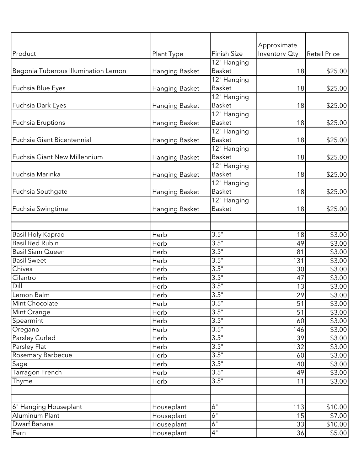|                                     |                       |                       | Approximate   |                     |
|-------------------------------------|-----------------------|-----------------------|---------------|---------------------|
| Product                             | Plant Type            | <b>Finish Size</b>    | Inventory Oty | <b>Retail Price</b> |
|                                     |                       | $12n$ Hanging         |               |                     |
| Begonia Tuberous Illumination Lemon | <b>Hanging Basket</b> | Basket                | 18            | \$25.00             |
|                                     |                       | 12" Hanging           |               |                     |
| Fuchsia Blue Eyes                   | Hanging Basket        | <b>Basket</b>         | 18            | \$25.00             |
|                                     |                       | 12" Hanging           |               |                     |
| Fuchsia Dark Eyes                   | Hanging Basket        | Basket                | 18            | \$25.00             |
|                                     |                       | 12" Hanging           |               |                     |
| Fuchsia Eruptions                   | Hanging Basket        | Basket<br>12" Hanging | 18            | \$25.00             |
| Fuchsia Giant Bicentennial          | Hanging Basket        | <b>Basket</b>         | 18            | \$25.00             |
|                                     |                       | 12" Hanging           |               |                     |
| Fuchsia Giant New Millennium        | Hanging Basket        | <b>Basket</b>         | 18            | \$25.00             |
|                                     |                       | 12" Hanging           |               |                     |
| Fuchsia Marinka                     | Hanging Basket        | <b>Basket</b>         | 18            | \$25.00             |
|                                     |                       | 12" Hanging           |               |                     |
| Fuchsia Southgate                   | Hanging Basket        | <b>Basket</b>         | 18            | \$25.00             |
|                                     |                       | 12" Hanging           |               |                     |
| Fuchsia Swingtime                   | Hanging Basket        | <b>Basket</b>         | 18            | \$25.00             |
|                                     |                       |                       |               |                     |
|                                     |                       |                       |               |                     |
| Basil Holy Kaprao                   | Herb                  | 3.5"                  | 18            | \$3.00              |
| <b>Basil Red Rubin</b>              | Herb                  | 3.5"                  | 49            | \$3.00              |
| <b>Basil Siam Queen</b>             | Herb                  | 3.5"                  | 81            | \$3.00              |
| <b>Basil Sweet</b>                  | Herb                  | 3.5"                  | 131           | \$3.00              |
| Chives                              | Herb                  | 3.5"                  | 30            | \$3.00              |
| Cilantro                            | Herb                  | 3.5"                  | 47            | \$3.00              |
| Dill<br>Lemon Balm                  | Herb                  | 3.5"<br>3.5"          | 13            | \$3.00              |
| Mint Chocolate                      | Herb<br>Herb          | 3.5"                  | 29<br>51      | $\sqrt{$3.00}$      |
| Mint Orange                         | Herb                  | 3.5"                  | 51            | \$3.00<br>\$3.00    |
| Spearmint                           | Herb                  | 3.5"                  | 60            | \$3.00              |
| Oregano                             | Herb                  | 3.5"                  | 146           | \$3.00              |
| Parsley Curled                      | Herb                  | 3.5"                  | 39            | \$3.00              |
| Parsley Flat                        | Herb                  | 3.5"                  | 132           | \$3.00              |
| <b>Rosemary Barbecue</b>            | Herb                  | 3.5"                  | 60            | \$3.00              |
| Sage                                | Herb                  | 3.5"                  | 40            | \$3.00              |
| Tarragon French                     | Herb                  | 3.5"                  | 49            | \$3.00              |
| Thyme                               | Herb                  | 3.5"                  | 11            | \$3.00              |
|                                     |                       |                       |               |                     |
|                                     |                       |                       |               |                     |
| 6" Hanging Houseplant               | Houseplant            | 6"                    | 113           | \$10.00             |
| Aluminum Plant                      | Houseplant            | $\overline{6}$ "      | 15            | \$7.00              |
| Dwarf Banana                        | Houseplant            | $\overline{6}$ "      | 33            | \$10.00             |
| Fern                                | Houseplant            | 4"                    | 36            | \$5.00              |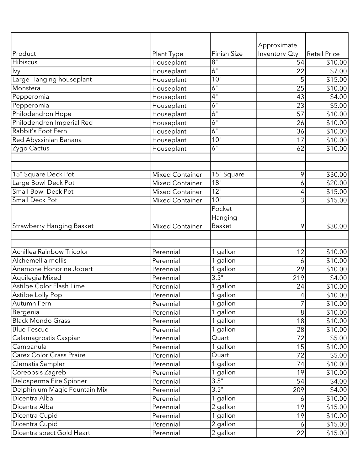| Product                         |                          | <b>Finish Size</b>    | Approximate<br>Inventory Oty | <b>Retail Price</b> |
|---------------------------------|--------------------------|-----------------------|------------------------------|---------------------|
| Hibiscus                        | Plant Type<br>Houseplant | $8^{\circ}$           | 54                           | \$10.00             |
| Ivy                             | Houseplant               | $\overline{6}$ "      | 22                           | \$7.00              |
| Large Hanging houseplant        | Houseplant               | 10"                   | 5                            | \$15.00             |
| Monstera                        | Houseplant               | 6"                    | 25                           | \$10.00             |
| Pepperomia                      | Houseplant               | 4"                    | 43                           | \$4.00              |
| Pepperomia                      | Houseplant               | 6"                    | 23                           | \$5.00              |
| Philodendron Hope               | Houseplant               | 6"                    | $\overline{57}$              | \$10.00             |
| Philodendron Imperial Red       | Houseplant               | 6"                    | 26                           | \$10.00             |
| Rabbit's Foot Fern              | Houseplant               | 6"                    | 36                           | \$10.00             |
| Red Abyssinian Banana           | Houseplant               | 10"                   | 17                           | \$10.00             |
| Zygo Cactus                     | Houseplant               | 6"                    | 62                           | \$10.00             |
|                                 |                          |                       |                              |                     |
|                                 |                          |                       |                              |                     |
| 15" Square Deck Pot             | <b>Mixed Container</b>   | 15" Square            | 9                            | \$30.00             |
| Large Bowl Deck Pot             | <b>Mixed Container</b>   | 18"                   | 6                            | \$20.00             |
| <b>Small Bowl Deck Pot</b>      | <b>Mixed Container</b>   | 12"                   | 4                            | \$15.00             |
| Small Deck Pot                  | <b>Mixed Container</b>   | 10"                   | 3                            | \$15.00             |
|                                 |                          | Pocket                |                              |                     |
|                                 |                          | Hanging               |                              |                     |
| Strawberry Hanging Basket       | <b>Mixed Container</b>   | <b>Basket</b>         | 9                            | \$30.00             |
|                                 |                          |                       |                              |                     |
| Achillea Rainbow Tricolor       | Perennial                | 1 gallon              | 12                           | \$10.00             |
| Alchemellia mollis              | Perennial                | 1 gallon              | 6                            | \$10.00             |
| Anemone Honorine Jobert         | Perennial                | 1 gallon              | 29                           | \$10.00             |
| Aquilegia Mixed                 | Perennial                | 3.5"                  | 219                          | \$4.00              |
| Astilbe Color Flash Lime        | Perennial                | 1 gallon              | 24                           | \$10.00             |
| Astilbe Lolly Pop               | Perennial                | 1 gallon              | 4                            | \$10.00             |
| Autumn Fern                     | Perennial                | 1 gallon              | 7                            | \$10.00             |
| Bergenia                        | Perennial                | 1 gallon              | 8                            | \$10.00             |
| <b>Black Mondo Grass</b>        | Perennial                | 1 gallon              | 18                           | \$10.00             |
| <b>Blue Fescue</b>              | Perennial                | 1 gallon              | 28                           | \$10.00             |
| Calamagrostis Caspian           | Perennial                | Quart                 | 72                           | \$5.00              |
| Campanula                       | Perennial                | 1 gallon              | 15                           | \$10.00             |
| <b>Carex Color Grass Praire</b> | Perennial                | Quart                 | 72                           | \$5.00              |
| Clematis Sampler                | Perennial                | $\overline{1}$ gallon | 74                           | \$10.00             |
| Coreopsis Zagreb                | Perennial                | 1 gallon              | 19                           | \$10.00             |
| Delosperma Fire Spinner         | Perennial                | 3.5"                  | 54                           | \$4.00              |
| Delphinium Magic Fountain Mix   | Perennial                | 3.5"                  | 209                          | \$4.00              |
| Dicentra Alba                   | Perennial                | 1 gallon              | 6                            | \$10.00             |
| Dicentra Alba                   | Perennial                | 2 gallon              | 19                           | \$15.00             |
| Dicentra Cupid                  | Perennial                | 1 gallon              | 19                           | \$10.00             |
| Dicentra Cupid                  | Perennial                | 2 gallon              | 6                            | \$15.00             |
| Dicentra spect Gold Heart       | Perennial                | $\overline{2}$ gallon | 22                           | \$15.00             |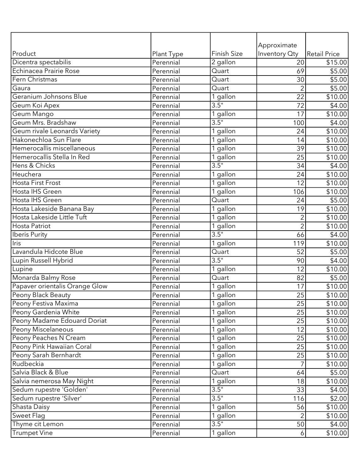|                                |            |                    | Approximate    |                     |
|--------------------------------|------------|--------------------|----------------|---------------------|
| Product                        | Plant Type | <b>Finish Size</b> | Inventory Oty  | <b>Retail Price</b> |
| Dicentra spectabilis           | Perennial  | 2 gallon           | 20             | \$15.00             |
| Echinacea Prairie Rose         | Perennial  | Quart              | 69             | \$5.00              |
| Fern Christmas                 | Perennial  | Quart              | 30             | $\overline{$}5.00$  |
| Gaura                          | Perennial  | Quart              | $\overline{2}$ | \$5.00              |
| Geranium Johnsons Blue         | Perennial  | 1 gallon           | 22             | \$10.00             |
| Geum Koi Apex                  | Perennial  | 3.5"               | 72             | \$4.00              |
| Geum Mango                     | Perennial  | 1 gallon           | 17             | \$10.00             |
| Geum Mrs. Bradshaw             | Perennial  | 3.5"               | 100            | \$4.00              |
| Geum rivale Leonards Variety   | Perennial  | 1 gallon           | 24             | \$10.00             |
| Hakonechloa Sun Flare          | Perennial  | 1 gallon           | 14             | \$10.00             |
| Hemerocallis miscellaneous     | Perennial  | 1 gallon           | 39             | \$10.00             |
| Hemerocallis Stella In Red     | Perennial  | 1 gallon           | 25             | \$10.00             |
| Hens & Chicks                  | Perennial  | 3.5"               | 34             | \$4.00              |
| Heuchera                       | Perennial  | 1 gallon           | 24             | \$10.00             |
| <b>Hosta First Frost</b>       | Perennial  | 1 gallon           | 12             | \$10.00             |
| Hosta IHS Green                | Perennial  | $1$ gallon         | 106            | \$10.00             |
| Hosta IHS Green                | Perennial  | Quart              | 24             | \$5.00              |
| Hosta Lakeside Banana Bay      | Perennial  | 1 gallon           | 19             | \$10.00             |
| Hosta Lakeside Little Tuft     | Perennial  | 1 gallon           | $\overline{2}$ | \$10.00             |
| <b>Hosta Patriot</b>           | Perennial  | 1 gallon           | $\overline{2}$ | \$10.00             |
| <b>Iberis Purity</b>           | Perennial  | $\overline{3.5}$ " | 66             | $\overline{$4.00}$  |
| Iris                           | Perennial  | 1 gallon           | 119            | \$10.00             |
| Lavandula Hidcote Blue         | Perennial  | Quart              | 52             | \$5.00              |
| Lupin Russell Hybrid           | Perennial  | 3.5"               | 90             | \$4.00              |
| Lupine                         | Perennial  | 1 gallon           | 12             | \$10.00             |
| Monarda Balmy Rose             | Perennial  | Quart              | 82             | \$5.00              |
| Papaver orientalis Orange Glow | Perennial  | 1 gallon           | 17             | \$10.00             |
| Peony Black Beauty             | Perennial  | 1 gallon           | 25             | \$10.00             |
| Peony Festiva Maxima           | Perennial  | 1 gallon           | 25             | \$10.00             |
| Peony Gardenia White           | Perennial  | 1 gallon           | 25             | \$10.00             |
| Peony Madame Edouard Doriat    | Perennial  | 1 gallon           | 25             | \$10.00             |
| Peony Miscelaneous             | Perennial  | 1 gallon           | 12             | \$10.00             |
| Peony Peaches N Cream          | Perennial  | 1 gallon           | 25             | \$10.00             |
| Peony Pink Hawaiian Coral      | Perennial  | 1 gallon           | 25             | \$10.00             |
| Peony Sarah Bernhardt          | Perennial  | 1 gallon           | 25             | \$10.00             |
| Rudbeckia                      | Perennial  | 1 gallon           |                | \$10.00             |
| Salvia Black & Blue            | Perennial  | Quart              | 64             | \$5.00              |
| Salvia nemerosa May Night      | Perennial  | 1 gallon           | 18             | \$10.00             |
| Sedum rupestre 'Golden'        | Perennial  | 3.5"               | 33             | \$4.00              |
| Sedum rupestre 'Silver'        | Perennial  | 3.5"               | 116            | \$2.00              |
| Shasta Daisy                   | Perennial  | 1 gallon           | 56             | \$10.00             |
| Sweet Flag                     | Perennial  | 1 gallon           | $\overline{2}$ | \$10.00             |
| Thyme cit Lemon                | Perennial  | 3.5"               | 50             | \$4.00              |
| <b>Trumpet Vine</b>            | Perennial  | 1 gallon           |                |                     |
|                                |            |                    | 6              | \$10.00             |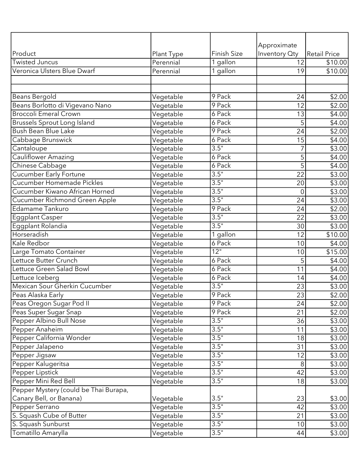| Product                               |                         | <b>Finish Size</b> | Approximate<br>Inventory Oty | Retail Price       |
|---------------------------------------|-------------------------|--------------------|------------------------------|--------------------|
| Twisted Juncus                        | Plant Type<br>Perennial | 1 gallon           | 12                           | \$10.00            |
| Veronica Ulsters Blue Dwarf           | Perennial               | 1 gallon           | 19                           | \$10.00            |
|                                       |                         |                    |                              |                    |
|                                       |                         |                    |                              |                    |
| Beans Bergold                         | Vegetable               | 9 Pack             | 24                           | \$2.00             |
| Beans Borlotto di Vigevano Nano       | Vegetable               | 9 Pack             | 12                           | \$2.00             |
| <b>Broccoli Emeral Crown</b>          | Vegetable               | 6 Pack             | 13                           | \$4.00             |
| Brussels Sprout Long Island           | Vegetable               | 6 Pack             | 5                            | \$4.00             |
| Bush Bean Blue Lake                   | Vegetable               | 9 Pack             | 24                           | \$2.00             |
| Cabbage Brunswick                     | Vegetable               | $6$ Pack           | 15                           | \$4.00             |
| Cantaloupe                            | Vegetable               | 3.5"               | $\overline{7}$               | \$3.00             |
| <b>Cauliflower Amazing</b>            | Vegetable               | 6 Pack             | 5                            | \$4.00             |
| Chinese Cabbage                       | Vegetable               | 6 Pack             | $\overline{5}$               | \$4.00             |
| Cucumber Early Fortune                | Vegetable               | 3.5"               | $\overline{22}$              | $\sqrt{$3.00}$     |
| Cucumber Homemade Pickles             | Vegetable               | 3.5"               | 20                           | \$3.00             |
| Cucumber Kiwano African Horned        | Vegetable               | 3.5"               | $\mathbf 0$                  | \$3.00             |
| Cucumber Richmond Green Apple         | Vegetable               | 3.5"               | 24                           | \$3.00             |
| Edamame Tankuro                       | Vegetable               | 9 Pack             | 24                           | $\overline{$}2.00$ |
| <b>Eggplant Casper</b>                | Vegetable               | 3.5"               | 22                           | \$3.00             |
| Eggplant Rolandia                     | Vegetable               | 3.5"               | 30                           | \$3.00             |
| Horseradish                           | Vegetable               | $1$ gallon         | 12                           | \$10.00            |
| Kale Redbor                           | Vegetable               | 6 Pack             | 10                           | \$4.00             |
| Large Tomato Container                | Vegetable               | $\overline{12}$ "  | 10                           | \$15.00            |
| Lettuce Butter Crunch                 | Vegetable               | 6 Pack             | 5                            | \$4.00             |
| Lettuce Green Salad Bowl              | Vegetable               | 6 Pack             | 11                           | \$4.00             |
| Lettuce Iceberg                       | Vegetable               | 6 Pack             | 14                           | \$4.00             |
| Mexican Sour Gherkin Cucumber         | Vegetable               | 3.5"               | 23                           | \$3.00             |
| Peas Alaska Early                     | Vegetable               | 9 Pack             | $\overline{23}$              | \$2.00             |
| Peas Oregon Sugar Pod II              | Vegetable               | 9 Pack             | 24                           | \$2.00             |
| Peas Super Sugar Snap                 | Vegetable               | 9 Pack             | 21                           | \$2.00             |
| Pepper Albino Bull Nose               | Vegetable               | 3.5"               | 36                           | \$3.00             |
| Pepper Anaheim                        | Vegetable               | 3.5"               | 11                           | \$3.00             |
| Pepper California Wonder              | Vegetable               | 3.5"               | 18                           | \$3.00             |
| Pepper Jalapeno                       | Vegetable               | 3.5"               | 31                           | \$3.00             |
| Pepper Jigsaw                         | Vegetable               | 3.5"               | 12                           | \$3.00             |
| Pepper Kalugeritsa                    | Vegetable               | 3.5"               | 8                            | \$3.00             |
| Pepper Lipstick                       | Vegetable               | 3.5"               | 42                           | \$3.00             |
| Pepper Mini Red Bell                  | Vegetable               | 3.5"               | 18                           | \$3.00             |
| Pepper Mystery (could be Thai Burapa, |                         |                    |                              |                    |
| Canary Bell, or Banana)               | Vegetable               | 3.5"               | 23                           | \$3.00             |
| Pepper Serrano                        | Vegetable               | 3.5"               | 42                           | \$3.00             |
| S. Squash Cube of Butter              | Vegetable               | 3.5"               | 21                           | \$3.00             |
| S. Squash Sunburst                    | Vegetable               | 3.5"               | 10                           | \$3.00             |
| Tomatillo Amarylla                    | Vegetable               | 3.5"               | 44                           | \$3.00             |